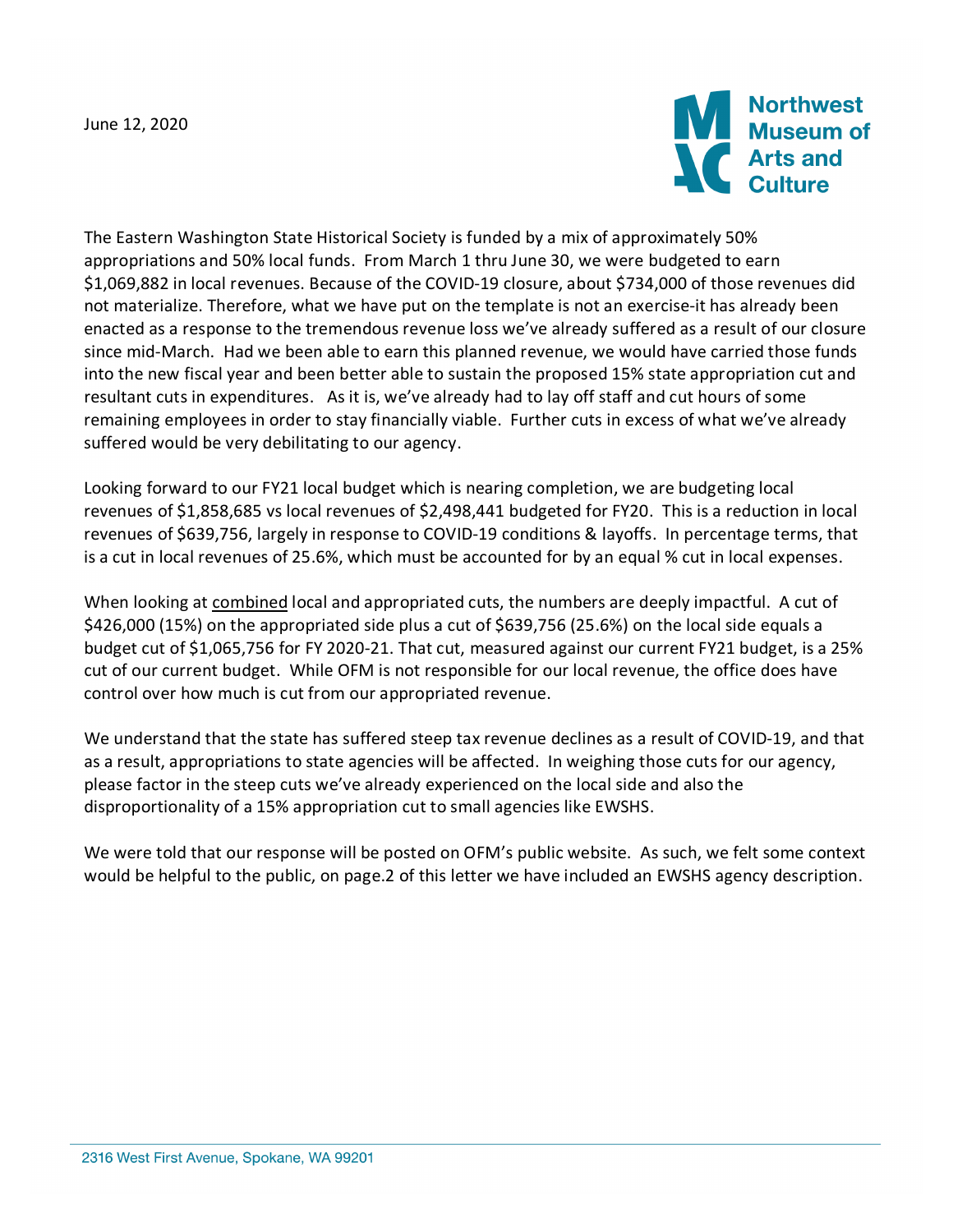

The Eastern Washington State Historical Society is funded by a mix of approximately 50% appropriations and 50% local funds. From March 1 thru June 30, we were budgeted to earn \$1,069,882 in local revenues. Because of the COVID-19 closure, about \$734,000 of those revenues did not materialize. Therefore, what we have put on the template is not an exercise-it has already been enacted as a response to the tremendous revenue loss we've already suffered as a result of our closure since mid-March. Had we been able to earn this planned revenue, we would have carried those funds into the new fiscal year and been better able to sustain the proposed 15% state appropriation cut and resultant cuts in expenditures. As it is, we've already had to lay off staff and cut hours of some remaining employees in order to stay financially viable. Further cuts in excess of what we've already suffered would be very debilitating to our agency.

Looking forward to our FY21 local budget which is nearing completion, we are budgeting local revenues of \$1,858,685 vs local revenues of \$2,498,441 budgeted for FY20. This is a reduction in local revenues of \$639,756, largely in response to COVID-19 conditions & layoffs. In percentage terms, that is a cut in local revenues of 25.6%, which must be accounted for by an equal % cut in local expenses.

When looking at combined local and appropriated cuts, the numbers are deeply impactful. A cut of \$426,000 (15%) on the appropriated side plus a cut of \$639,756 (25.6%) on the local side equals a budget cut of \$1,065,756 for FY 2020-21. That cut, measured against our current FY21 budget, is a 25% cut of our current budget. While OFM is not responsible for our local revenue, the office does have control over how much is cut from our appropriated revenue.

We understand that the state has suffered steep tax revenue declines as a result of COVID-19, and that as a result, appropriations to state agencies will be affected. In weighing those cuts for our agency, please factor in the steep cuts we've already experienced on the local side and also the disproportionality of a 15% appropriation cut to small agencies like EWSHS.

We were told that our response will be posted on OFM's public website. As such, we felt some context would be helpful to the public, on page.2 of this letter we have included an EWSHS agency description.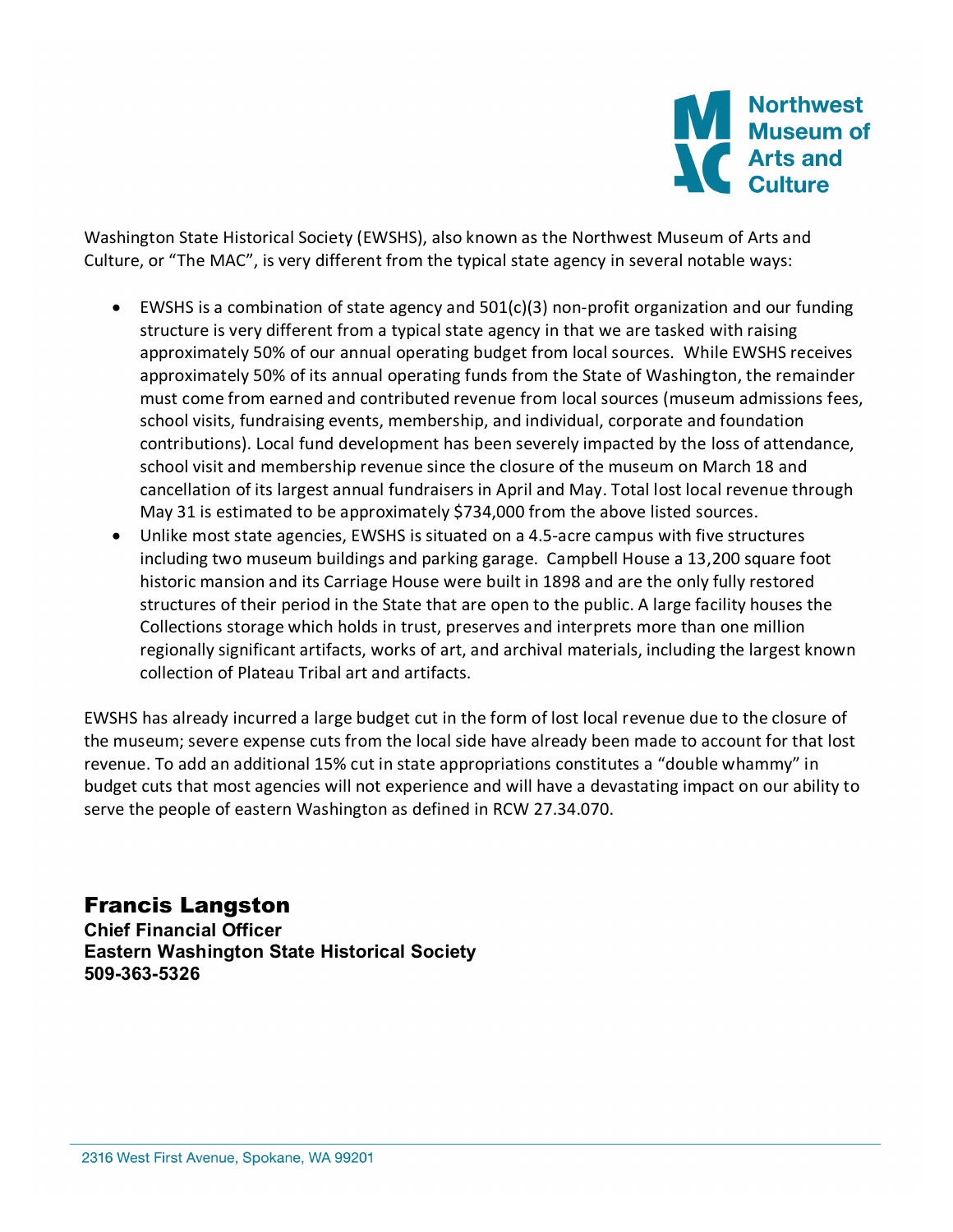

Washington State Historical Society (EWSHS), also known as the Northwest Museum of Arts and Culture, or "The MAC", is very different from the typical state agency in several notable ways:

- EWSHS is a combination of state agency and 501(c)(3) non-profit organization and our funding structure is very different from a typical state agency in that we are tasked with raising approximately 50% of our annual operating budget from local sources. While EWSHS receives approximately 50% of its annual operating funds from the State of Washington, the remainder must come from earned and contributed revenue from local sources (museum admissions fees, school visits, fundraising events, membership, and individual, corporate and foundation contributions). Local fund development has been severely impacted by the loss of attendance, school visit and membership revenue since the closure of the museum on March 18 and cancellation of its largest annual fundraisers in April and May. Total lost local revenue through May 31 is estimated to be approximately \$734,000 from the above listed sources.
- Unlike most state agencies, EWSHS is situated on a 4.5-acre campus with five structures including two museum buildings and parking garage. Campbell House a 13,200 square foot historic mansion and its Carriage House were built in 1898 and are the only fully restored structures of their period in the State that are open to the public. A large facility houses the Collections storage which holds in trust, preserves and interprets more than one million regionally significant artifacts, works of art, and archival materials, including the largest known collection of Plateau Tribal art and artifacts.

EWSHS has already incurred a large budget cut in the form of lost local revenue due to the closure of the museum; severe expense cuts from the local side have already been made to account for that lost revenue. To add an additional 15% cut in state appropriations constitutes a "double whammy" in budget cuts that most agencies will not experience and will have a devastating impact on our ability to serve the people of eastern Washington as defined in RCW 27.34.070.

Francis Langston

**Chief Financial Officer Eastern Washington State Historical Society 509-363-5326**